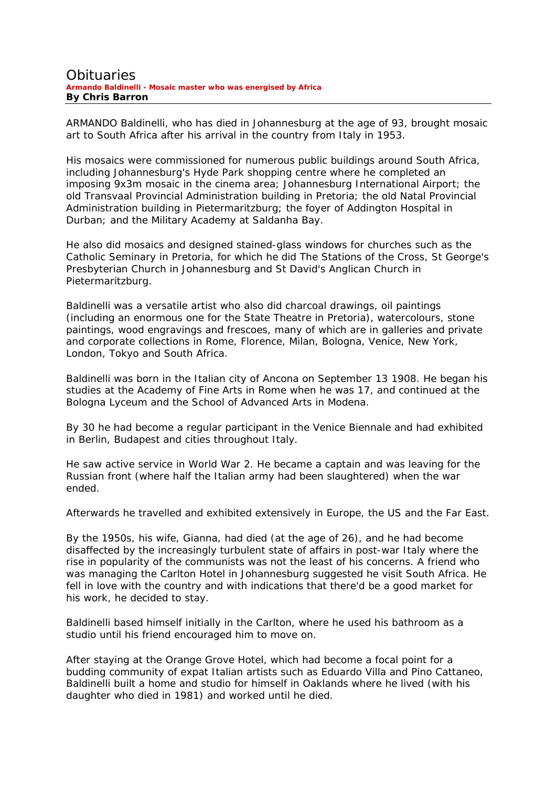ARMANDO Baldinelli, who has died in Johannesburg at the age of 93, brought mosaic art to South Africa after his arrival in the country from Italy in 1953.

His mosaics were commissioned for numerous public buildings around South Africa, including Johannesburg's Hyde Park shopping centre where he completed an imposing 9x3m mosaic in the cinema area; Johannesburg International Airport; the old Transvaal Provincial Administration building in Pretoria; the old Natal Provincial Administration building in Pietermaritzburg; the foyer of Addington Hospital in Durban; and the Military Academy at Saldanha Bay.

He also did mosaics and designed stained-glass windows for churches such as the Catholic Seminary in Pretoria, for which he did The Stations of the Cross, St George's Presbyterian Church in Johannesburg and St David's Anglican Church in Pietermaritzburg.

Baldinelli was a versatile artist who also did charcoal drawings, oil paintings (including an enormous one for the State Theatre in Pretoria), watercolours, stone paintings, wood engravings and frescoes, many of which are in galleries and private and corporate collections in Rome, Florence, Milan, Bologna, Venice, New York, London, Tokyo and South Africa.

Baldinelli was born in the Italian city of Ancona on September 13 1908. He began his studies at the Academy of Fine Arts in Rome when he was 17, and continued at the Bologna Lyceum and the School of Advanced Arts in Modena.

By 30 he had become a regular participant in the Venice Biennale and had exhibited in Berlin, Budapest and cities throughout Italy.

He saw active service in World War 2. He became a captain and was leaving for the Russian front (where half the Italian army had been slaughtered) when the war ended.

Afterwards he travelled and exhibited extensively in Europe, the US and the Far East.

By the 1950s, his wife, Gianna, had died (at the age of 26), and he had become disaffected by the increasingly turbulent state of affairs in post-war Italy where the rise in popularity of the communists was not the least of his concerns. A friend who was managing the Carlton Hotel in Johannesburg suggested he visit South Africa. He fell in love with the country and with indications that there'd be a good market for his work, he decided to stay.

Baldinelli based himself initially in the Carlton, where he used his bathroom as a studio until his friend encouraged him to move on.

After staying at the Orange Grove Hotel, which had become a focal point for a budding community of expat Italian artists such as Eduardo Villa and Pino Cattaneo, Baldinelli built a home and studio for himself in Oaklands where he lived (with his daughter who died in 1981) and worked until he died.